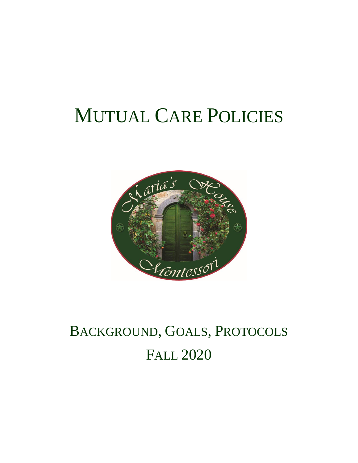# MUTUAL CARE POLICIES



# BACKGROUND, GOALS, PROTOCOLS FALL 2020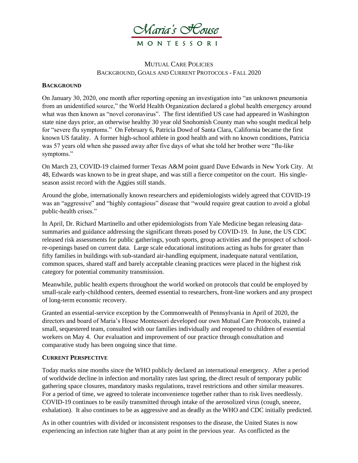

#### MUTUAL CARE POLICIES BACKGROUND, GOALS AND CURRENT PROTOCOLS - FALL 2020

#### **BACKGROUND**

On January 30, 2020, one month after reporting opening an investigation into "an unknown pneumonia from an unidentified source," the World Health Organization declared a global health emergency around what was then known as "novel coronavirus". The first identified US case had appeared in Washington state nine days prior, an otherwise healthy 30 year old Snohomish County man who sought medical help for "severe flu symptoms." On February 6, Patricia Dowd of Santa Clara, California became the first known US fatality. A former high-school athlete in good health and with no known conditions, Patricia was 57 years old when she passed away after five days of what she told her brother were "flu-like symptoms."

On March 23, COVID-19 claimed former Texas A&M point guard Dave Edwards in New York City. At 48, Edwards was known to be in great shape, and was still a fierce competitor on the court. His singleseason assist record with the Aggies still stands.

Around the globe, internationally known researchers and epidemiologists widely agreed that COVID-19 was an "aggressive" and "highly contagious" disease that "would require great caution to avoid a global public-health crises."

In April, Dr. Richard Martinello and other epidemiologists from Yale Medicine began releasing datasummaries and guidance addressing the significant threats posed by COVID-19. In June, the US CDC released risk assessments for public gatherings, youth sports, group activities and the prospect of schoolre-openings based on current data. Large scale educational institutions acting as hubs for greater than fifty families in buildings with sub-standard air-handling equipment, inadequate natural ventilation, common spaces, shared staff and barely acceptable cleaning practices were placed in the highest risk category for potential community transmission.

Meanwhile, public health experts throughout the world worked on protocols that could be employed by small-scale early-childhood centers, deemed essential to researchers, front-line workers and any prospect of long-term economic recovery.

Granted an essential-service exception by the Commonwealth of Pennsylvania in April of 2020, the directors and board of Maria's House Montessori developed our own Mutual Care Protocols, trained a small, sequestered team, consulted with our families individually and reopened to children of essential workers on May 4. Our evaluation and improvement of our practice through consultation and comparative study has been ongoing since that time.

#### **CURRENT PERSPECTIVE**

Today marks nine months since the WHO publicly declared an international emergency. After a period of worldwide decline in infection and mortality rates last spring, the direct result of temporary public gathering space closures, mandatory masks regulations, travel restrictions and other similar measures. For a period of time, we agreed to tolerate inconvenience together rather than to risk lives needlessly. COVID-19 continues to be easily transmitted through intake of the aerosolized virus (cough, sneeze, exhalation). It also continues to be as aggressive and as deadly as the WHO and CDC initially predicted.

As in other countries with divided or inconsistent responses to the disease, the United States is now experiencing an infection rate higher than at any point in the previous year. As conflicted as the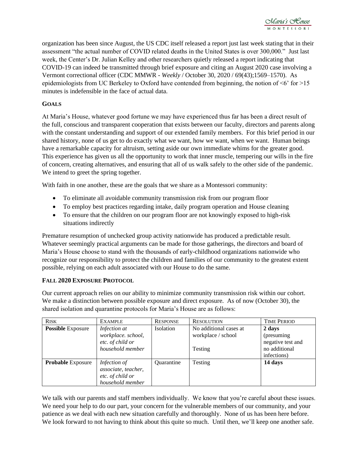organization has been since August, the US CDC itself released a report just last week stating that in their assessment "the actual number of COVID related deaths in the United States is over 300,000." Just last week, the Center's Dr. Julian Kelley and other researchers quietly released a report indicating that COVID-19 can indeed be transmitted through brief exposure and citing an August 2020 case involving a Vermont correctional officer (CDC MMWR - *Weekly* / October 30, 2020 / 69(43);1569–1570). As epidemiologists from UC Berkeley to Oxford have contended from beginning, the notion of  $\leq 6$  for  $>15$ minutes is indefensible in the face of actual data.

#### **GOALS**

At Maria's House, whatever good fortune we may have experienced thus far has been a direct result of the full, conscious and transparent cooperation that exists between our faculty, directors and parents along with the constant understanding and support of our extended family members. For this brief period in our shared history, none of us get to do exactly what we want, how we want, when we want. Human beings have a remarkable capacity for altruism, setting aside our own immediate whims for the greater good. This experience has given us all the opportunity to work that inner muscle, tempering our wills in the fire of concern, creating alternatives, and ensuring that all of us walk safely to the other side of the pandemic. We intend to greet the spring together.

With faith in one another, these are the goals that we share as a Montessori community:

- To eliminate all avoidable community transmission risk from our program floor
- To employ best practices regarding intake, daily program operation and House cleaning
- To ensure that the children on our program floor are not knowingly exposed to high-risk situations indirectly

Premature resumption of unchecked group activity nationwide has produced a predictable result. Whatever seemingly practical arguments can be made for those gatherings, the directors and board of Maria's House choose to stand with the thousands of early-childhood organizations nationwide who recognize our responsibility to protect the children and families of our community to the greatest extent possible, relying on each adult associated with our House to do the same.

#### **FALL 2020 EXPOSURE PROTOCOL**

Our current approach relies on our ability to minimize community transmission risk within our cohort. We make a distinction between possible exposure and direct exposure. As of now (October 30), the shared isolation and quarantine protocols for Maria's House are as follows:

| <b>RISK</b>              | <b>EXAMPLE</b>                                                              | <b>RESPONSE</b>   | <b>RESOLUTION</b>                                       | <b>TIME PERIOD</b>                                                         |
|--------------------------|-----------------------------------------------------------------------------|-------------------|---------------------------------------------------------|----------------------------------------------------------------------------|
| <b>Possible Exposure</b> | Infection at<br>workplace. school,<br>etc. of child or<br>household member  | Isolation         | No additional cases at<br>workplace / school<br>Testing | 2 days<br>(presuming)<br>negative test and<br>no additional<br>infections) |
| <b>Probable Exposure</b> | Infection of<br>associate, teacher,<br>etc. of child or<br>household member | <b>Ouarantine</b> | Testing                                                 | 14 days                                                                    |

We talk with our parents and staff members individually. We know that you're careful about these issues. We need your help to do our part, your concern for the vulnerable members of our community, and your patience as we deal with each new situation carefully and thoroughly. None of us has been here before. We look forward to not having to think about this quite so much. Until then, we'll keep one another safe.